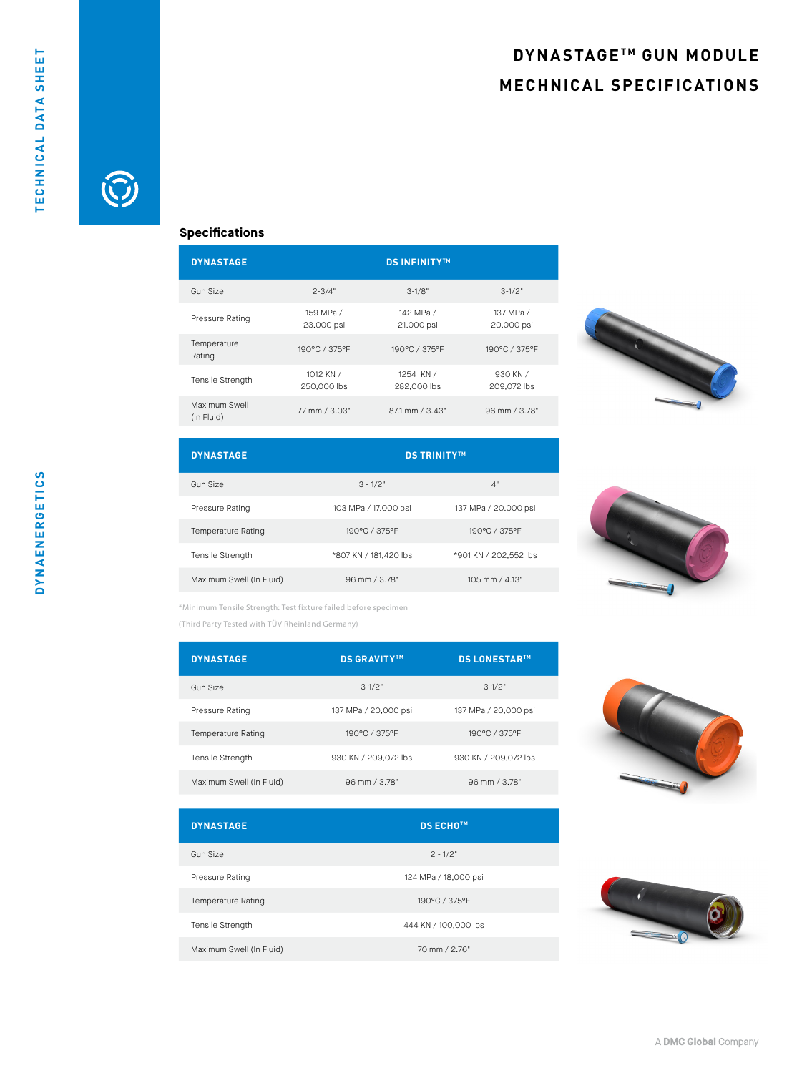## **DYNASTAGETM GUN MODULE MECHNICAL SPECIFICATIONS**



## **Specifications**

| <b>DYNASTAGE</b>            |                          | <b>DS INFINITY™</b>      |                         |
|-----------------------------|--------------------------|--------------------------|-------------------------|
| Gun Size                    | $2 - 3/4"$               | $3-1/8"$                 | $3-1/2"$                |
| Pressure Rating             | 159 MPa /<br>23,000 psi  | 142 MPa /<br>21,000 psi  | 137 MPa /<br>20,000 psi |
| Temperature<br>Rating       | 190°C / 375°F            | 190°C / 375°F            | 190°C / 375°F           |
| <b>Tensile Strength</b>     | 1012 KN /<br>250,000 lbs | 1254 KN /<br>282,000 lbs | 930 KN /<br>209.072 lbs |
| Maximum Swell<br>(In Fluid) | 77 mm / 3.03"            | $87.1$ mm $/ 3.43"$      | 96 mm / 3.78"           |



| <b>DYNASTAGE</b>          | <b>DS TRINITY™</b>    |                       |  |
|---------------------------|-----------------------|-----------------------|--|
| Gun Size                  | $3 - 1/2"$            | 4"                    |  |
| Pressure Rating           | 103 MPa / 17,000 psi  | 137 MPa / 20,000 psi  |  |
| <b>Temperature Rating</b> | 190°C / 375°F         | 190°C / 375°F         |  |
| Tensile Strength          | *807 KN / 181,420 lbs | *901 KN / 202.552 lbs |  |
| Maximum Swell (In Fluid)  | 96 mm / 3.78"         | 105 mm / 4.13"        |  |



\*Minimum Tensile Strength: Test fixture failed before specimen

(Third Party Tested with TÜV Rheinland Germany)

| <b>DYNASTAGE</b>          | <b>DS GRAVITY™</b>   | <b>DS LONESTARTM</b> |
|---------------------------|----------------------|----------------------|
| Gun Size                  | $3-1/2"$             | $3-1/2"$             |
| Pressure Rating           | 137 MPa / 20,000 psi | 137 MPa / 20,000 psi |
| <b>Temperature Rating</b> | 190°C / 375°F        | 190°C / 375°F        |
| <b>Tensile Strength</b>   | 930 KN / 209,072 lbs | 930 KN / 209.072 lbs |
| Maximum Swell (In Fluid)  | 96 mm / 3.78"        | 96 mm / 3.78"        |

| <b>DYNASTAGE</b>         | <b>DS ECHO™</b>      |
|--------------------------|----------------------|
| Gun Size                 | $2 - 1/2"$           |
| Pressure Rating          | 124 MPa / 18,000 psi |
| Temperature Rating       | 190°C / 375°F        |
| <b>Tensile Strength</b>  | 444 KN / 100,000 lbs |
| Maximum Swell (In Fluid) | 70 mm / 2.76"        |